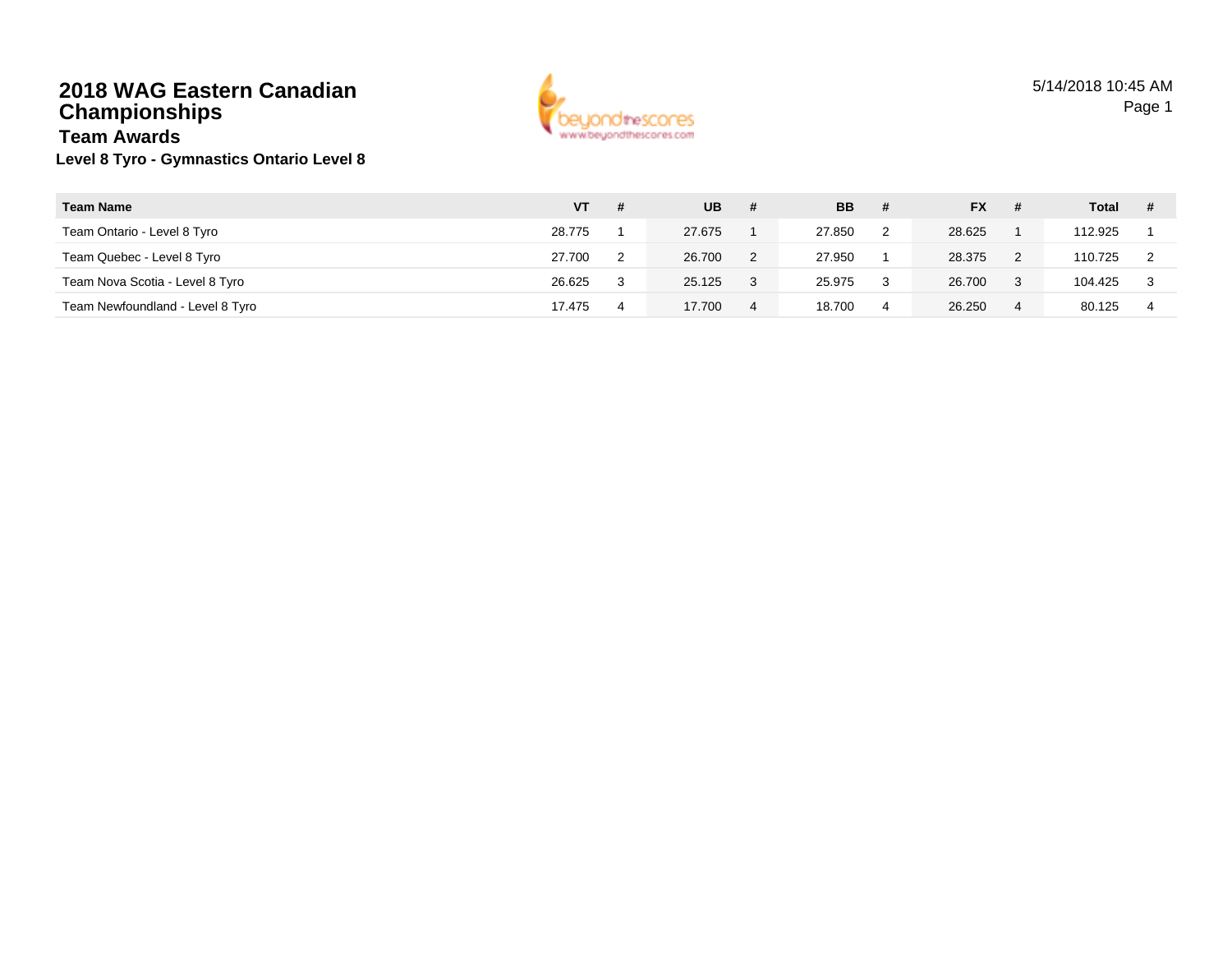#### **2018 WAG Eastern CanadianChampionshipsTeam Awards**



## **Level 8 Tyro - Gymnastics Ontario Level 8**

| <b>Team Name</b>                 | VT     | - # | <b>UB</b> | #              | <b>BB</b> | # | <b>FX</b> |   | Total   |  |
|----------------------------------|--------|-----|-----------|----------------|-----------|---|-----------|---|---------|--|
| Team Ontario - Level 8 Tyro      | 28.775 |     | 27.675    |                | 27.850    | 2 | 28.625    |   | 112.925 |  |
| Team Quebec - Level 8 Tyro       | 27.700 | ົ   | 26.700    |                | 27.950    |   | 28.375    | 2 | 110.725 |  |
| Team Nova Scotia - Level 8 Tyro  | 26.625 |     | 25.125    |                | 25.975    | 3 | 26.700    | 3 | 104.425 |  |
| Team Newfoundland - Level 8 Tyro | 17.475 |     | 17.700    | $\overline{4}$ | 18.700    | 4 | 26.250    | 4 | 80.125  |  |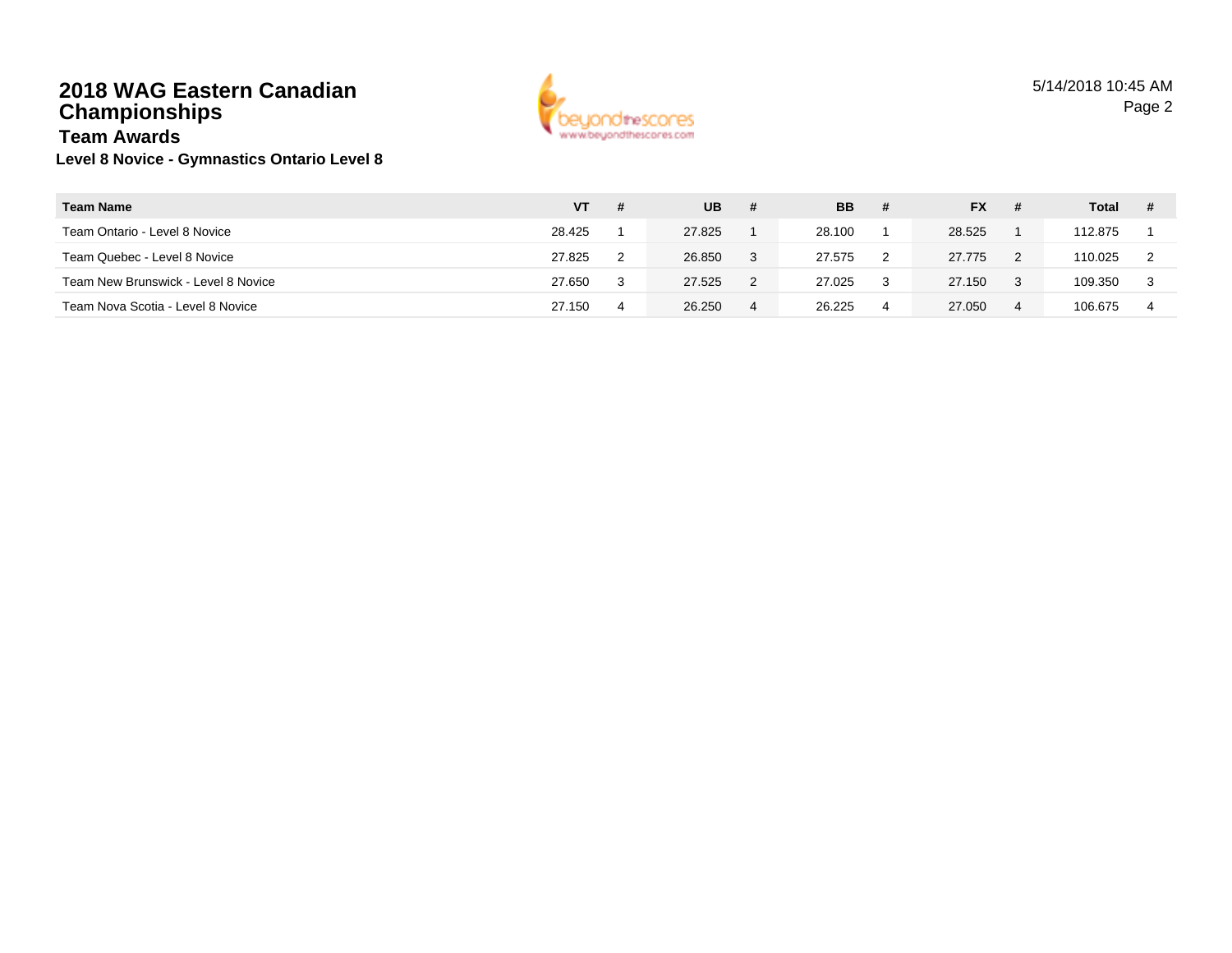### **2018 WAG Eastern CanadianChampionships**



#### **Level 8 Novice - Gymnastics Ontario Level 8 Team Awards**

| <b>Team Name</b>                    | VT     | -# | <b>UB</b> | #              | <b>BB</b> | #  | <b>FX</b> |    | Total   |  |
|-------------------------------------|--------|----|-----------|----------------|-----------|----|-----------|----|---------|--|
| Team Ontario - Level 8 Novice       | 28.425 |    | 27.825    |                | 28.100    |    | 28.525    |    | 112.875 |  |
| Team Quebec - Level 8 Novice        | 27.825 |    | 26.850    |                | 27.575    | -2 | 27.775    |    | 110.025 |  |
| Team New Brunswick - Level 8 Novice | 27.650 |    | 27.525    |                | 27.025    | 3  | 27.150    | -3 | 109.350 |  |
| Team Nova Scotia - Level 8 Novice   | 27.150 | 4  | 26.250    | $\overline{4}$ | 26.225    | 4  | 27.050    | 4  | 106.675 |  |